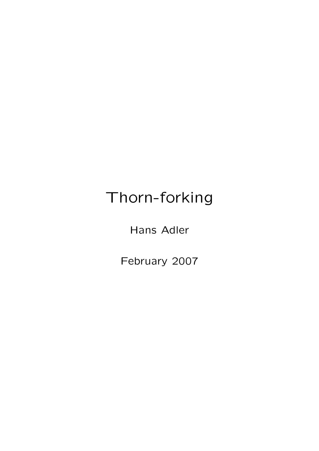# Thorn-forking

Hans Adler

February 2007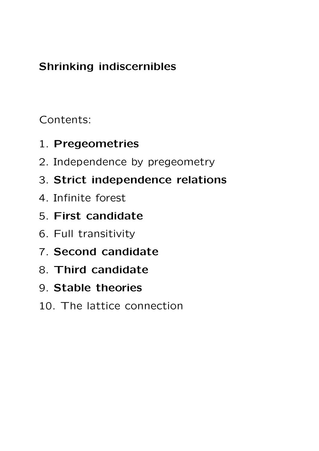## Shrinking indiscernibles

Contents:

- 1. Pregeometries
- 2. Independence by pregeometry
- 3. Strict independence relations
- 4. Infinite forest
- 5. First candidate
- 6. Full transitivity
- 7. Second candidate
- 8. Third candidate
- 9. Stable theories
- 10. The lattice connection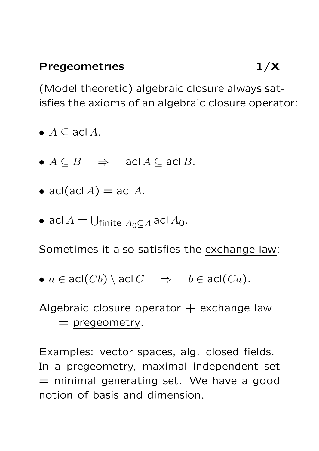#### Pregeometries 1/X

(Model theoretic) algebraic closure always satisfies the axioms of an algebraic closure operator:

- $A \subseteq \text{acl } A$ .
- $A \subseteq B$   $\Rightarrow$  acl  $A \subseteq \text{acl } B$ .
- acl $(\text{acl }A) = \text{acl }A$ .
- acl  $A = \bigcup_{\text{finite } A_0 \subseteq A}$  acl  $A_0$ .

Sometimes it also satisfies the exchange law:

•  $a \in \text{acl}(Cb) \setminus \text{acl } C \Rightarrow b \in \text{acl}(Ca)$ .

Algebraic closure operator  $+$  exchange law  $=$  pregeometry.

Examples: vector spaces, alg. closed fields. In a pregeometry, maximal independent set  $=$  minimal generating set. We have a good notion of basis and dimension.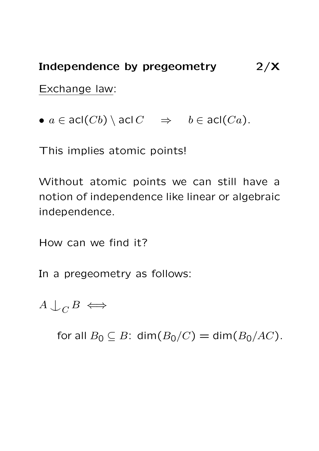#### Independence by pregeometry 2/X

Exchange law:

•  $a \in \text{acl}(Cb) \setminus \text{acl } C \Rightarrow b \in \text{acl}(Ca)$ .

This implies atomic points!

Without atomic points we can still have a notion of independence like linear or algebraic independence.

How can we find it?

In a pregeometry as follows:

 $A \cup_C B \iff$ 

for all  $B_0 \subseteq B$ : dim $(B_0/C) = \dim(B_0/AC)$ .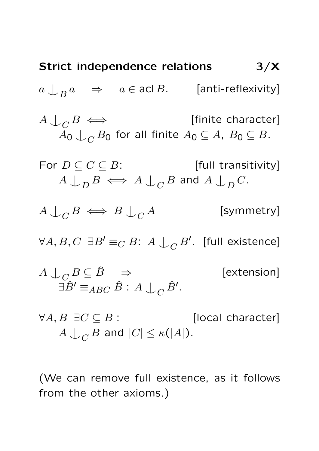**Strict independence relations**

\n
$$
3/\mathbf{X}
$$
\n
$$
a \downarrow_{B} a \Rightarrow a \in \text{acl } B. \qquad \text{[anti-reflexivity]}
$$
\n
$$
A \downarrow_{C} B \iff \qquad \text{[finite character]}
$$
\n
$$
A_{0} \downarrow_{C} B_{0} \text{ for all finite } A_{0} \subseteq A, B_{0} \subseteq B.
$$
\nFor  $D \subseteq C \subseteq B$ :

\n
$$
A \downarrow_{D} B \iff A \downarrow_{C} B \text{ and } A \downarrow_{D} C.
$$
\n
$$
A \downarrow_{C} B \iff B \downarrow_{C} A \qquad \qquad \text{[symmetry]}
$$
\n
$$
\forall A, B, C \exists B' \equiv_{C} B: A \downarrow_{C} B'. \text{ [full existence]}
$$
\n
$$
A \downarrow_{C} B \subseteq \hat{B} \Rightarrow \qquad \qquad \text{[extension]}
$$
\n
$$
\exists \hat{B}' \equiv_{ABC} \hat{B}: A \downarrow_{C} \hat{B}'.
$$

 $\forall A, B \exists C \subseteq B$ : [local character]  $A\bigcup_C B$  and  $|C|\leq \kappa(|A|).$ 

(We can remove full existence, as it follows from the other axioms.)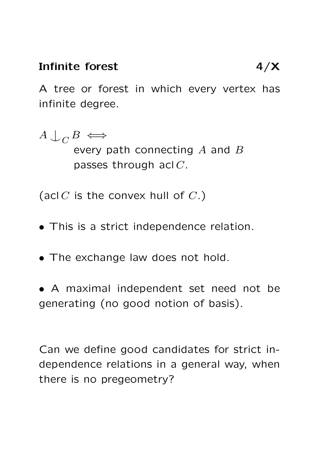#### Infinite forest 4/X

A tree or forest in which every vertex has infinite degree.

 $A \cup_C B \iff$ every path connecting  $A$  and  $B$ passes through acl C.

(acl  $C$  is the convex hull of  $C$ .)

- This is a strict independence relation.
- The exchange law does not hold.
- A maximal independent set need not be generating (no good notion of basis).

Can we define good candidates for strict independence relations in a general way, when there is no pregeometry?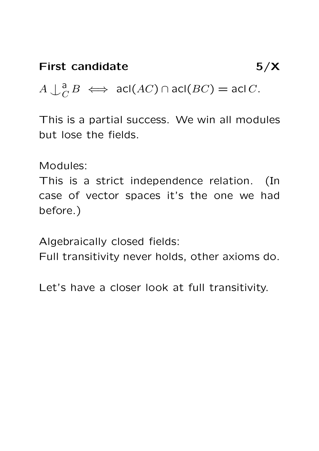$A \downarrow_c^a$  $\overline{C}$   $B \iff \text{acl}(AC) \cap \text{acl}(BC) = \text{acl}(C)$ .

This is a partial success. We win all modules but lose the fields.

Modules:

This is a strict independence relation. (In case of vector spaces it's the one we had before.)

Algebraically closed fields:

Full transitivity never holds, other axioms do.

Let's have a closer look at full transitivity.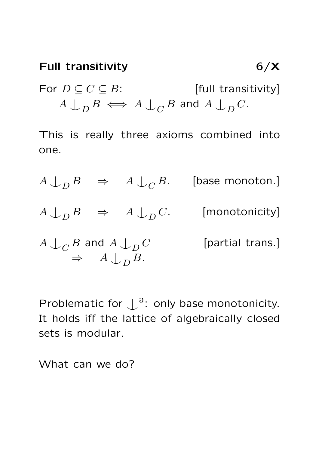# Full transitivity 6/X For  $D \subseteq C \subseteq B$ : [full transitivity]  $A\mathrel{\dot{\cup}}_{D} B\iff A\mathrel{\dot{\cup}}_{C} B$  and  $A\mathrel{\dot{\cup}}_{D} C.$

This is really three axioms combined into one.

 $A\bigcup_{D} B \quad \Rightarrow \quad A\bigcup_{C} B. \quad \quad \text{[base monoton.]}$  $A\mathrel{\downarrow}_D B\quad\Rightarrow\quad A\mathrel{\downarrow}_D C.\quad\qquad\text{[monotonicity]}$  $A\mathrel{\mathop{\downarrow}_{C}} B$  and  $A\mathrel{\mathop{\downarrow}_{D}}$ [partial trans.]  $\Rightarrow$   $A \downarrow_D B$ .

Problematic for  $\int_a^a$ : only base monotonicity. It holds iff the lattice of algebraically closed sets is modular.

What can we do?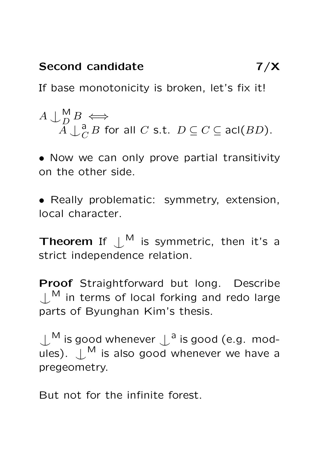If base monotonicity is broken, let's fix it!

$$
A \cup_{D}^{M} B \iff A \cup_{C}^{a} B \text{ for all } C \text{ s.t. } D \subseteq C \subseteq \text{acl}(BD).
$$

• Now we can only prove partial transitivity on the other side.

• Really problematic: symmetry, extension, local character.

**Theorem** If  $\bigcup^{\mathsf{M}}$  is symmetric, then it's a strict independence relation.

Proof Straightforward but long. Describe  $\mu_{\text{m}}$  in terms of local forking and redo large parts of Byunghan Kim's thesis.

 $\bigcup^{\mathsf{M}}$  is good whenever  $\bigcup^{\mathsf{a}}$  is good (e.g. modules).  $\bigcup_{m=1}^{M}$  is also good whenever we have a pregeometry.

But not for the infinite forest.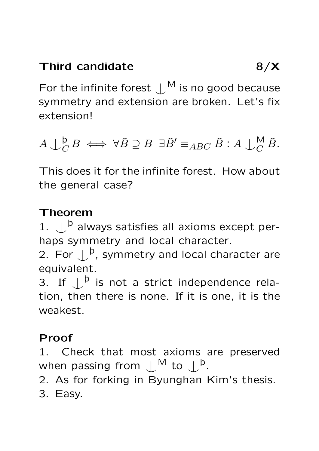For the infinite forest  $\perp^{\mathsf{M}}$  is no good because symmetry and extension are broken. Let's fix extension!

 $A\bigcup^{\mathsf{b}}_{C}$  $\stackrel{\mathsf{b}}{C} B \iff \forall \widehat{B} \supseteq B \exists \widehat{B}' \equiv_{ABC} \widehat{B} : A \bigcup_{C}^{\mathsf{M}} \widehat{B}.$ 

This does it for the infinite forest. How about the general case?

### Theorem

1.  $\bigcup^{\mathsf{b}}$  always satisfies all axioms except perhaps symmetry and local character.

2. For  $\mathcal{L}^{\mathsf{b}}$ , symmetry and local character are equivalent.

3. If  $\bigcup^{\mathsf{b}}$  is not a strict independence relation, then there is none. If it is one, it is the weakest.

### Proof

1. Check that most axioms are preserved when passing from  $\mathcal{L}^{\sf M}$  to  $\mathcal{L}^{\sf b}$ .

2. As for forking in Byunghan Kim's thesis.

3. Easy.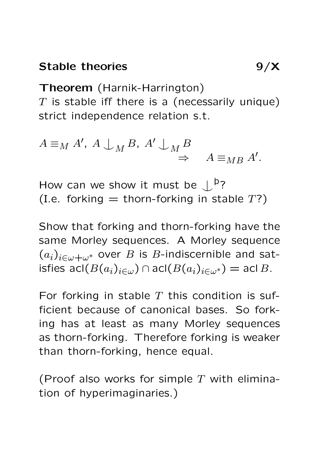Theorem (Harnik-Harrington)  $T$  is stable iff there is a (necessarily unique) strict independence relation s.t.

$$
A \equiv_M A', A \perp_M B, A' \perp_M B \Rightarrow A \equiv_{MB} A'.
$$

How can we show it must be  $\downarrow^{\mathsf{b}}$ ? (I.e. forking  $=$  thorn-forking in stable  $T$ ?)

Show that forking and thorn-forking have the same Morley sequences. A Morley sequence  $(a_i)_{i\in\omega+\omega^*}$  over B is B-indiscernible and satisfies acl $(B(a_i)_{i\in\omega}) \cap \text{acl}(B(a_i)_{i\in\omega^*}) = \text{acl}(B$ .

For forking in stable  $T$  this condition is sufficient because of canonical bases. So forking has at least as many Morley sequences as thorn-forking. Therefore forking is weaker than thorn-forking, hence equal.

(Proof also works for simple  $T$  with elimination of hyperimaginaries.)